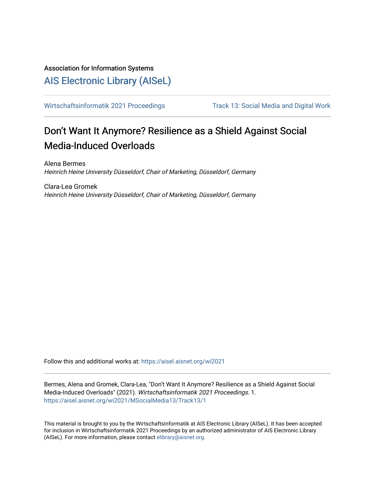# Association for Information Systems

# [AIS Electronic Library \(AISeL\)](https://aisel.aisnet.org/)

[Wirtschaftsinformatik 2021 Proceedings](https://aisel.aisnet.org/wi2021) Track 13: Social Media and Digital Work

# Don't Want It Anymore? Resilience as a Shield Against Social Media-Induced Overloads

Alena Bermes Heinrich Heine University Düsseldorf, Chair of Marketing, Düsseldorf, Germany

Clara-Lea Gromek Heinrich Heine University Düsseldorf, Chair of Marketing, Düsseldorf, Germany

Follow this and additional works at: [https://aisel.aisnet.org/wi2021](https://aisel.aisnet.org/wi2021?utm_source=aisel.aisnet.org%2Fwi2021%2FMSocialMedia13%2FTrack13%2F1&utm_medium=PDF&utm_campaign=PDFCoverPages) 

Bermes, Alena and Gromek, Clara-Lea, "Don't Want It Anymore? Resilience as a Shield Against Social Media-Induced Overloads" (2021). Wirtschaftsinformatik 2021 Proceedings. 1. [https://aisel.aisnet.org/wi2021/MSocialMedia13/Track13/1](https://aisel.aisnet.org/wi2021/MSocialMedia13/Track13/1?utm_source=aisel.aisnet.org%2Fwi2021%2FMSocialMedia13%2FTrack13%2F1&utm_medium=PDF&utm_campaign=PDFCoverPages) 

This material is brought to you by the Wirtschaftsinformatik at AIS Electronic Library (AISeL). It has been accepted for inclusion in Wirtschaftsinformatik 2021 Proceedings by an authorized administrator of AIS Electronic Library (AISeL). For more information, please contact [elibrary@aisnet.org](mailto:elibrary@aisnet.org%3E).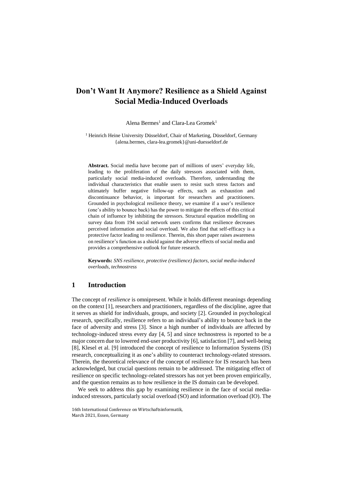# **Don't Want It Anymore? Resilience as a Shield Against Social Media-Induced Overloads**

Alena Bermes<sup>1</sup> and Clara-Lea Gromek<sup>1</sup>

<sup>1</sup> Heinrich Heine University Düsseldorf, Chair of Marketing, Düsseldorf, Germany {alena.bermes, clara-lea.gromek}@uni-duesseldorf.de

**Abstract.** Social media have become part of millions of users' everyday life, leading to the proliferation of the daily stressors associated with them, particularly social media-induced overloads. Therefore, understanding the individual characteristics that enable users to resist such stress factors and ultimately buffer negative follow-up effects, such as exhaustion and discontinuance behavior, is important for researchers and practitioners. Grounded in psychological resilience theory, we examine if a user's resilience (one's ability to bounce back) has the power to mitigate the effects of this critical chain of influence by inhibiting the stressors. Structural equation modelling on survey data from 194 social network users confirms that resilience decreases perceived information and social overload. We also find that self-efficacy is a protective factor leading to resilience. Therein, this short paper raises awareness on resilience's function as a shield against the adverse effects of social media and provides a comprehensive outlook for future research.

**Keywords:** *SNS resilience, protective (resilience) factors, social media-induced overloads, technostress*

# **1 Introduction**

The concept of *resilience* is omnipresent. While it holds different meanings depending on the context [1], researchers and practitioners, regardless of the discipline, agree that it serves as shield for individuals, groups, and society [2]. Grounded in psychological research, specifically, resilience refers to an individual's ability to bounce back in the face of adversity and stress [3]. Since a high number of individuals are affected by technology-induced stress every day [4, 5] and since technostress is reported to be a major concern due to lowered end-user productivity [6], satisfaction [7], and well-being [8], Klesel et al. [9] introduced the concept of resilience to Information Systems (IS) research, conceptualizing it as one's ability to counteract technology-related stressors. Therein, the theoretical relevance of the concept of resilience for IS research has been acknowledged, but crucial questions remain to be addressed. The mitigating effect of resilience on specific technology-related stressors has not yet been proven empirically, and the question remains as to how resilience in the IS domain can be developed.

We seek to address this gap by examining resilience in the face of social mediainduced stressors, particularly social overload (SO) and information overload (IO). The

<sup>16</sup>th International Conference on Wirtschaftsinformatik, March 2021, Essen, Germany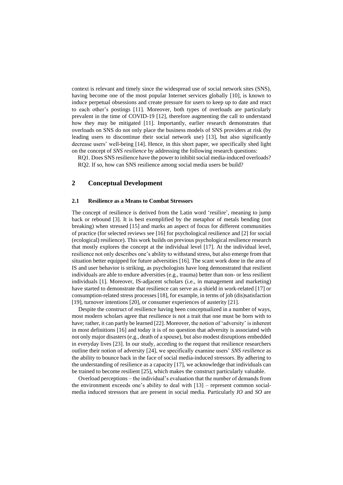context is relevant and timely since the widespread use of social network sites (SNS), having become one of the most popular Internet services globally [10], is known to induce perpetual obsessions and create pressure for users to keep up to date and react to each other's postings [11]. Moreover, both types of overloads are particularly prevalent in the time of COVID-19 [12], therefore augmenting the call to understand how they may be mitigated [11]. Importantly, earlier research demonstrates that overloads on SNS do not only place the business models of SNS providers at risk (by leading users to discontinue their social network use) [13], but also significantly decrease users' well-being [14]. Hence, in this short paper, we specifically shed light on the concept of *SNS resilience* by addressing the following research questions:

RQ1. Does SNS resilience have the power to inhibit social media-induced overloads? RQ2. If so, how can SNS resilience among social media users be build?

### **2 Conceptual Development**

#### **2.1 Resilience as a Means to Combat Stressors**

The concept of resilience is derived from the Latin word 'resilire', meaning to jump back or rebound [3]. It is best exemplified by the metaphor of metals bending (not breaking) when stressed [15] and marks an aspect of focus for different communities of practice (for selected reviews see [16] for psychological resilience and [2] for social (ecological) resilience). This work builds on previous psychological resilience research that mostly explores the concept at the individual level [17]. At the individual level, resilience not only describes one's ability to withstand stress, but also emerge from that situation better equipped for future adversities [16]. The scant work done in the area of IS and user behavior is striking, as psychologists have long demonstrated that resilient individuals are able to endure adversities (e.g., trauma) better than non- or less resilient individuals [1]. Moreover, IS-adjacent scholars (i.e., in management and marketing) have started to demonstrate that resilience can serve as a shield in work-related [17] or consumption-related stress processes [18], for example, in terms of job (dis)satisfaction [19], turnover intentions [20], or consumer experiences of austerity [21].

Despite the construct of resilience having been conceptualized in a number of ways, most modern scholars agree that resilience is not a trait that one must be born with to have; rather, it can partly be learned [22]. Moreover, the notion of 'adversity' is inherent in most definitions [16] and today it is of no question that adversity is associated with not only major disasters (e.g., death of a spouse), but also modest disruptions embedded in everyday lives [23]. In our study, acceding to the request that resilience researchers outline their notion of adversity [24], we specifically examine users' *SNS resilience* as the ability to bounce back in the face of social media-induced stressors. By adhering to the understanding of resilience as a capacity [17], we acknowledge that individuals can be trained to become resilient [25], which makes the construct particularly valuable.

Overload perceptions – the individual's evaluation that the number of demands from the environment exceeds one's ability to deal with [13] – represent common socialmedia induced stressors that are present in social media. Particularly *IO* and *SO* are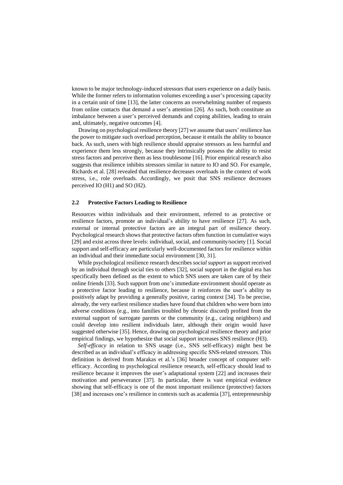known to be major technology-induced stressors that users experience on a daily basis. While the former refers to information volumes exceeding a user's processing capacity in a certain unit of time [13], the latter concerns an overwhelming number of requests from online contacts that demand a user's attention [26]. As such, both constitute an imbalance between a user's perceived demands and coping abilities, leading to strain and, ultimately, negative outcomes [4].

Drawing on psychological resilience theory [27] we assume that users' resilience has the power to mitigate such overload perception, because it entails the ability to bounce back. As such, users with high resilience should appraise stressors as less harmful and experience them less strongly, because they intrinsically possess the ability to resist stress factors and perceive them as less troublesome [16]. Prior empirical research also suggests that resilience inhibits stressors similar in nature to IO and SO. For example, Richards et al. [28] revealed that resilience decreases overloads in the context of work stress, i.e., role overloads. Accordingly, we posit that SNS resilience decreases perceived IO (H1) and SO (H2).

#### **2.2 Protective Factors Leading to Resilience**

Resources within individuals and their environment, referred to as protective or resilience factors, promote an individual's ability to have resilience [27]. As such, external or internal protective factors are an integral part of resilience theory. Psychological research shows that protective factors often function in cumulative ways [29] and exist across three levels: individual, social, and community/society [1]. Social support and self-efficacy are particularly well-documented factors for resilience within an individual and their immediate social environment [30, 31].

While psychological resilience research describes *social support* as support received by an individual through social ties to others [32], social support in the digital era has specifically been defined as the extent to which SNS users are taken care of by their online friends [33]. Such support from one's immediate environment should operate as a protective factor leading to resilience, because it reinforces the user's ability to positively adapt by providing a generally positive, caring context [34]. To be precise, already, the very earliest resilience studies have found that children who were born into adverse conditions (e.g., into families troubled by chronic discord) profited from the external support of surrogate parents or the community (e.g., caring neighbors) and could develop into resilient individuals later, although their origin would have suggested otherwise [35]. Hence, drawing on psychological resilience theory and prior empirical findings, we hypothesize that social support increases SNS resilience (H3).

*Self-efficacy* in relation to SNS usage (i.e., SNS self-efficacy) might best be described as an individual's efficacy in addressing specific SNS-related stressors. This definition is derived from Marakas et al.'s [36] broader concept of computer selfefficacy. According to psychological resilience research, self-efficacy should lead to resilience because it improves the user's adaptational system [22] and increases their motivation and perseverance [37]. In particular, there is vast empirical evidence showing that self-efficacy is one of the most important resilience (protective) factors [38] and increases one's resilience in contexts such as academia [37], entrepreneurship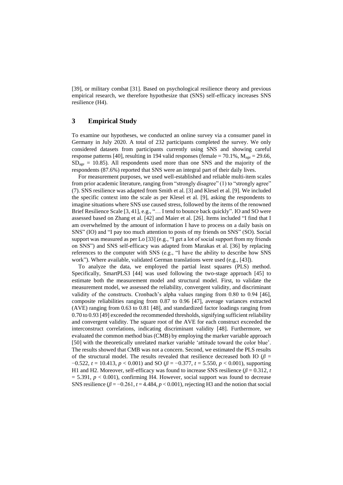[39], or military combat [31]. Based on psychological resilience theory and previous empirical research, we therefore hypothesize that (SNS) self-efficacy increases SNS resilience (H4).

## **3 Empirical Study**

To examine our hypotheses, we conducted an online survey via a consumer panel in Germany in July 2020. A total of 232 participants completed the survey. We only considered datasets from participants currently using SNS and showing careful response patterns [40], resulting in 194 valid responses (female =  $70.1\%$ ,  $M_{\text{age}} = 29.66$ ,  $SD<sub>age</sub> = 10.85$ ). All respondents used more than one SNS and the majority of the respondents (87.6%) reported that SNS were an integral part of their daily lives.

For measurement purposes, we used well-established and reliable multi-item scales from prior academic literature, ranging from "strongly disagree" (1) to "strongly agree" (7). SNS resilience was adapted from Smith et al. [3] and Klesel et al. [9]. We included the specific context into the scale as per Klesel et al. [9], asking the respondents to imagine situations where SNS use caused stress, followed by the items of the renowned Brief Resilience Scale [3, 41], e.g., "... I tend to bounce back quickly". IO and SO were assessed based on Zhang et al. [42] and Maier et al. [26]. Items included "I find that I am overwhelmed by the amount of information I have to process on a daily basis on SNS" (IO) and "I pay too much attention to posts of my friends on SNS" (SO). Social support was measured as per Lo [33] (e.g., "I get a lot of social support from my friends on SNS") and SNS self-efficacy was adapted from Marakas et al. [36] by replacing references to the computer with SNS (e.g., "I have the ability to describe how SNS work"). Where available, validated German translations were used (e.g., [43]).

To analyze the data, we employed the partial least squares (PLS) method. Specifically, SmartPLS3 [44] was used following the two-stage approach [45] to estimate both the measurement model and structural model. First, to validate the measurement model, we assessed the reliability, convergent validity, and discriminant validity of the constructs. Cronbach's alpha values ranging from 0.80 to 0.94 [46], composite reliabilities ranging from 0.87 to 0.96 [47], average variances extracted (AVE) ranging from 0.63 to 0.81 [48], and standardized factor loadings ranging from 0.70 to 0.93 [49] exceeded the recommended thresholds, signifying sufficient reliability and convergent validity. The square root of the AVE for each construct exceeded the interconstruct correlations, indicating discriminant validity [48]. Furthermore, we evaluated the common method bias (CMB) by employing the marker variable approach [50] with the theoretically unrelated marker variable 'attitude toward the color blue'. The results showed that CMB was not a concern. Second, we estimated the PLS results of the structural model. The results revealed that resilience decreased both IO ( $\beta$  = −0.522, *t* = 10.413, *p* < 0.001) and SO (*β* = −0.377, *t* = 5.550, *p* < 0.001), supporting H1 and H2. Moreover, self-efficacy was found to increase SNS resilience  $(\beta = 0.312, t$  $= 5.391, p < 0.001$ ), confirming H4. However, social support was found to decrease SNS resilience  $(\beta = -0.261, t = 4.484, p < 0.001)$ , rejecting H3 and the notion that social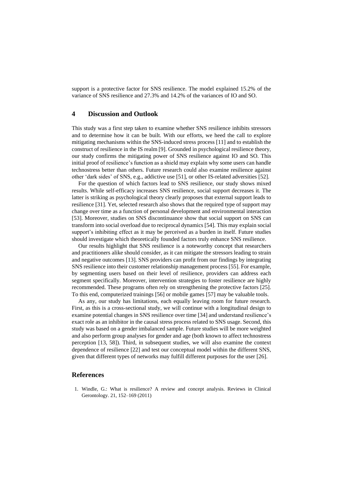support is a protective factor for SNS resilience. The model explained 15.2% of the variance of SNS resilience and 27.3% and 14.2% of the variances of IO and SO.

### **4 Discussion and Outlook**

This study was a first step taken to examine whether SNS resilience inhibits stressors and to determine how it can be built. With our efforts, we heed the call to explore mitigating mechanisms within the SNS-induced stress process [11] and to establish the construct of resilience in the IS realm [9]. Grounded in psychological resilience theory, our study confirms the mitigating power of SNS resilience against IO and SO. This initial proof of resilience's function as a shield may explain why some users can handle technostress better than others. Future research could also examine resilience against other 'dark sides' of SNS, e.g., addictive use [51], or other IS-related adversities [52].

For the question of which factors lead to SNS resilience, our study shows mixed results. While self-efficacy increases SNS resilience, social support decreases it. The latter is striking as psychological theory clearly proposes that external support leads to resilience [31]. Yet, selected research also shows that the required type of support may change over time as a function of personal development and environmental interaction [53]. Moreover, studies on SNS discontinuance show that social support on SNS can transform into social overload due to reciprocal dynamics [54]. This may explain social support's inhibiting effect as it may be perceived as a burden in itself. Future studies should investigate which theoretically founded factors truly enhance SNS resilience.

Our results highlight that SNS resilience is a noteworthy concept that researchers and practitioners alike should consider, as it can mitigate the stressors leading to strain and negative outcomes [13]. SNS providers can profit from our findings by integrating SNS resilience into their customer relationship management process [55]. For example, by segmenting users based on their level of resilience, providers can address each segment specifically. Moreover, intervention strategies to foster resilience are highly recommended. These programs often rely on strengthening the protective factors [25]. To this end, computerized trainings [56] or mobile games [57] may be valuable tools.

As any, our study has limitations, each equally leaving room for future research. First, as this is a cross-sectional study, we will continue with a longitudinal design to examine potential changes in SNS resilience over time [34] and understand resilience's exact role as an inhibitor in the causal stress process related to SNS usage. Second, this study was based on a gender imbalanced sample. Future studies will be more weighted and also perform group analyses for gender and age (both known to affect technostress perception [13, 58]). Third, in subsequent studies, we will also examine the context dependence of resilience [22] and test our conceptual model within the different SNS, given that different types of networks may fulfill different purposes for the user [26].

## **References**

1. Windle, G.: What is resilience? A review and concept analysis. Reviews in Clinical Gerontology. 21, 152–169 (2011)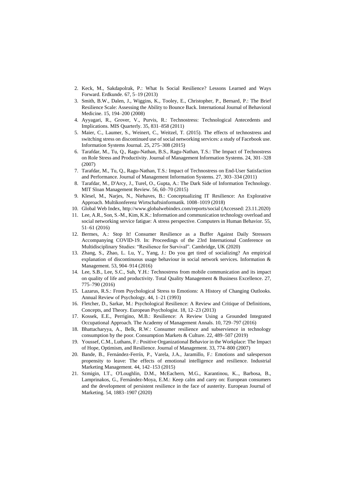- 2. Keck, M., Sakdapolrak, P.: What Is Social Resilience? Lessons Learned and Ways Forward. Erdkunde. 67, 5–19 (2013)
- 3. Smith, B.W., Dalen, J., Wiggins, K., Tooley, E., Christopher, P., Bernard, P.: The Brief Resilience Scale: Assessing the Ability to Bounce Back. International Journal of Behavioral Medicine. 15, 194–200 (2008)
- 4. Ayyagari, R., Grover, V., Purvis, R.: Technostress: Technological Antecedents and Implications. MIS Quarterly. 35, 831–858 (2011)
- 5. Maier, C., Laumer, S., Weinert, C., Weitzel, T. (2015). The effects of technostress and switching stress on discontinued use of social networking services: a study of Facebook use. Information Systems Journal. 25, 275–308 (2015)
- 6. Tarafdar, M., Tu, Q., Ragu-Nathan, B.S., Ragu-Nathan, T.S.: The Impact of Technostress on Role Stress and Productivity. Journal of Management Information Systems. 24, 301–328 (2007)
- 7. Tarafdar, M., Tu, Q., Ragu-Nathan, T.S.: Impact of Technostress on End-User Satisfaction and Performance. Journal of Management Information Systems. 27, 303–334 (2011)
- 8. Tarafdar, M., D'Arcy, J., Turel, O., Gupta, A.: The Dark Side of Information Technology. MIT Sloan Management Review. 56, 60–70 (2015)
- 9. Klesel, M., Narjes, N., Niehaves, B.: Conceptualizing IT Resilience: An Explorative Approach. Multikonferenz Wirtschaftsinformatik. 1008–1019 (2018)
- 10. Global Web Index, http://www.globalwebindex.com/reports/social (Accessed: 23.11.2020)
- 11. Lee, A.R., Son, S.-M., Kim, K.K.: Information and communication technology overload and social networking service fatigue: A stress perspective. Computers in Human Behavior. 55, 51–61 (2016)
- 12. Bermes, A.: Stop It! Consumer Resilience as a Buffer Against Daily Stressors Accompanying COVID-19. In: Proceedings of the 23rd International Conference on Multidisciplinary Studies: "Resilience for Survival". Cambridge, UK (2020)
- 13. Zhang, S., Zhao, L. Lu, Y., Yang, J.: Do you get tired of socializing? An empirical explanation of discontinuous usage behaviour in social network services. Information & Management. 53, 904–914 (2016)
- 14. Lee, S.B., Lee, S.C., Suh, Y.H.: Technostress from mobile communication and its impact on quality of life and productivity. Total Quality Management & Business Excellence. 27, 775–790 (2016)
- 15. Lazarus, R.S.: From Psychological Stress to Emotions: A History of Changing Outlooks. Annual Review of Psychology. 44, 1–21 (1993)
- 16. Fletcher, D., Sarkar, M.: Psychological Resilience: A Review and Critique of Definitions, Concepts, and Theory. European Psychologist. 18, 12–23 (2013)
- 17. Kossek, E.E., Perrigino, M.B.: Resilience: A Review Using a Grounded Integrated Occupational Approach. The Academy of Management Annals. 10, 729–797 (2016)
- 18. Bhattacharyya, A., Belk, R.W.: Consumer resilience and subservience in technology consumption by the poor. Consumption Markets & Culture. 22, 489–507 (2019)
- 19. Youssef, C.M., Luthans, F.: Positive Organizational Behavior in the Workplace: The Impact of Hope, Optimism, and Resilience. Journal of Management. 33, 774–800 (2007)
- 20. Bande, B., Fernández-Ferrín, P., Varela, J.A., Jaramillo, F.: Emotions and salesperson propensity to leave: The effects of emotional intelligence and resilience. Industrial Marketing Management. 44, 142–153 (2015)
- 21. Szmigin, I.T., O'Loughlin, D.M., McEachern, M.G., Karantinou, K.., Barbosa, B., Lamprinakos, G., Fernández-Moya, E.M.: Keep calm and carry on: European consumers and the development of persistent resilience in the face of austerity. European Journal of Marketing. 54, 1883–1907 (2020)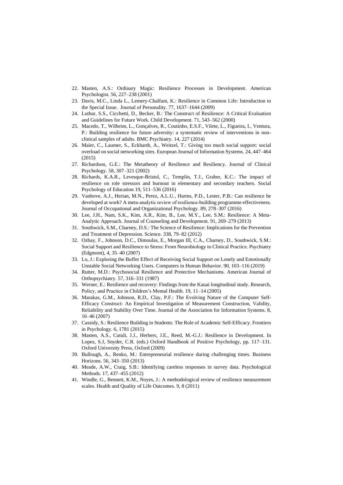- 22. Masten, A.S.: Ordinary Magic: Resilience Processes in Development. American Psychologist. 56, 227–238 (2001)
- 23. Davis, M.C., Linda L., Lemery-Chalfant, K.: Resilience in Common Life: Introduction to the Special Issue. Journal of Personality. 77, 1637–1644 (2009)
- 24. Luthar, S.S., Cicchetti, D., Becker, B.: The Construct of Resilience: A Critical Evaluation and Guidelines for Future Work. Child Development. 71, 543–562 (2000)
- 25. Macedo, T., Wilheim, L., Gonçalves, R., Coutinho, E.S.F., Vilete, L., Figueira, I., Ventura, P.: Building resilience for future adversity: a systematic review of interventions in nonclinical samples of adults. BMC Psychiatry. 14, 227 (2014)
- 26. Maier, C., Laumer, S., Eckhardt, A., Weitzel, T.: Giving too much social support: social overload on social networking sites. European Journal of Information Systems. 24, 447–464 (2015)
- 27. Richardson, G.E.: The Metatheory of Resilience and Resiliency. Journal of Clinical Psychology. 58, 307–321 (2002)
- 28. Richards, K.A.R., Levesque-Bristol, C., Templin, T.J., Graber, K.C.: The impact of resilience on role stressors and burnout in elementary and secondary teachers. Social Psychology of Education 19, 511–536 (2016)
- 29. Vanhove, A.J., Herian, M.N., Perez, A.L.U., Harms, P.D., Lester, P.B.: Can resilience be developed at work? A meta-analytic review of resilience-building programme effectiveness. Journal of Occupational and Organizational Psychology. 89, 278–307 (2016)
- 30. Lee, J.H., Nam, S.K., Kim, A.R., Kim, B., Lee, M.Y., Lee, S.M.: Resilience: A Meta-Analytic Approach. Journal of Counseling and Development. 91, 269–279 (2013)
- 31. Southwick, S.M., Charney, D.S.: The Science of Resilience: Implications for the Prevention and Treatment of Depression. Science. 338, 79–82 (2012)
- 32. Ozbay, F., Johnson, D.C., Dimoulas, E., Morgan III, C.A., Charney, D., Southwick, S.M.: Social Support and Resilience to Stress: From Neurobiology to Clinical Practice. Psychiatry (Edgmont), 4, 35–40 (2007)
- 33. Lo, J.: Exploring the Buffer Effect of Receiving Social Support on Lonely and Emotionally Unstable Social Networking Users. Computers in Human Behavior. 90, 103–116 (2019)
- 34. Rutter, M.D.: Psychosocial Resilience and Protective Mechanisms. American Journal of Orthopsychiatry. 57, 316–331 (1987)
- 35. Werner, E.: Resilience and recovery: Findings from the Kauai longitudinal study. Research, Policy, and Practice in Children's Mental Health. 19, 11–14 (2005)
- 36. Marakas, G.M., Johnson, R.D., Clay, P.F.: The Evolving Nature of the Computer Self-Efficacy Construct: An Empirical Investigation of Measurement Construction, Validity, Reliability and Stability Over Time. Journal of the Association for Information Systems. 8, 16–46 (2007)
- 37. Cassidy, S.: Resilience Building in Students: The Role of Academic Self-Efficacy. Frontiers in Psychology. 6, 1781 (2015)
- 38. Masten, A.S., Cutuli, J.J., Herbers, J.E., Reed, M.-G.J.: Resilience in Development. In Lopez, S.J, Snyder, C.R. (eds.) Oxford Handbook of Positive Psychology, pp. 117–131. Oxford University Press, Oxford (2009)
- 39. Bullough, A., Renko, M.: Entrepreneurial resilience during challenging times. Business Horizons. 56, 343–350 (2013)
- 40. Meade, A.W., Craig, S.B.: Identifying careless responses in survey data. Psychological Methods. 17, 437–455 (2012)
- 41. Windle, G., Bennett, K.M., Noyes, J.: A methodological review of resilience measurement scales. Health and Quality of Life Outcomes. 9, 8 (2011)